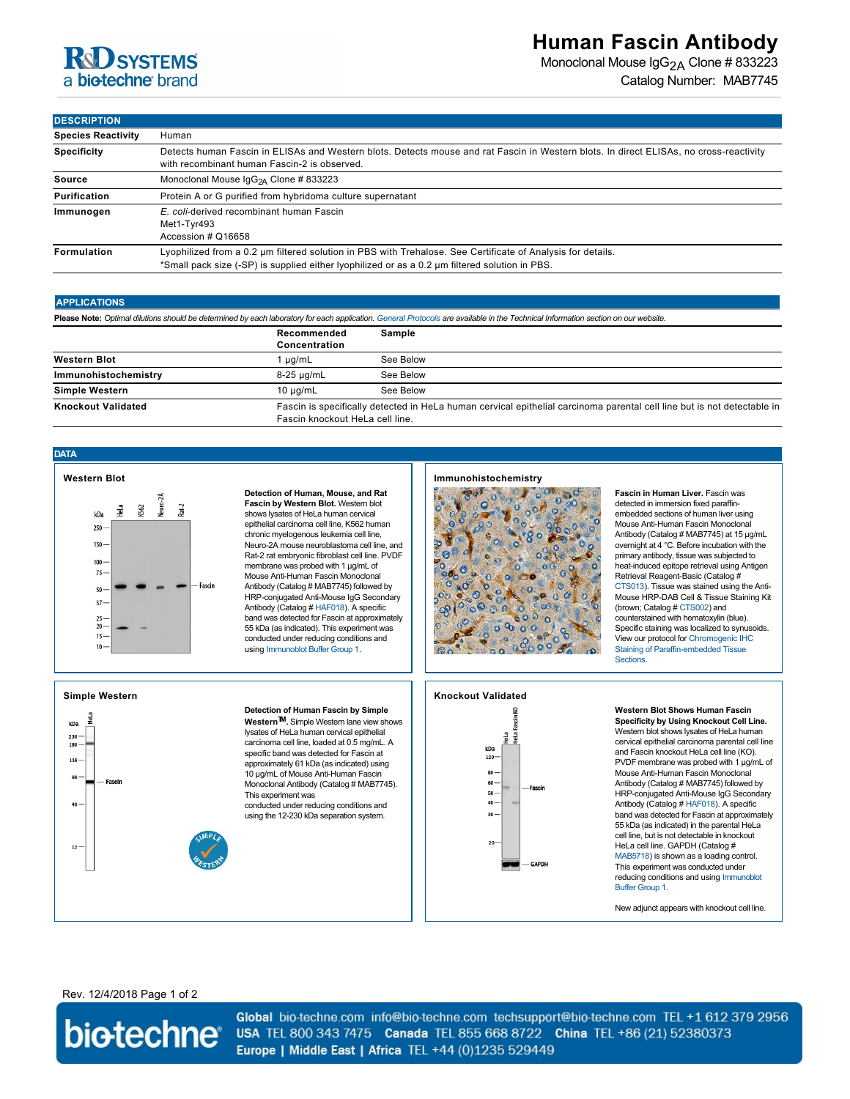

# **Human Fascin Antibody**

Monoclonal Mouse IgG<sub>2A</sub> Clone # 833223 Catalog Number: MAB7745

**DESCRIPTION**

| <b>Species Reactivity</b> | Human                                                                                                                                                                                                         |  |  |
|---------------------------|---------------------------------------------------------------------------------------------------------------------------------------------------------------------------------------------------------------|--|--|
| <b>Specificity</b>        | Detects human Fascin in ELISAs and Western blots. Detects mouse and rat Fascin in Western blots. In direct ELISAs, no cross-reactivity<br>with recombinant human Fascin-2 is observed.                        |  |  |
| Source                    | Monoclonal Mouse IgG <sub>2A</sub> Clone # 833223                                                                                                                                                             |  |  |
| <b>Purification</b>       | Protein A or G purified from hybridoma culture supernatant                                                                                                                                                    |  |  |
| Immunogen                 | E. coli-derived recombinant human Fascin<br>Met1-Tyr493<br>Accession # Q16658                                                                                                                                 |  |  |
| Formulation               | Lyophilized from a 0.2 um filtered solution in PBS with Trehalose. See Certificate of Analysis for details.<br>*Small pack size (-SP) is supplied either lyophilized or as a 0.2 um filtered solution in PBS. |  |  |

#### **APPLICATIONS**

| Please Note: Optimal dilutions should be determined by each laboratory for each application. General Protocols are available in the Technical Information section on our website. |                                                                                                                                                            |           |  |  |
|-----------------------------------------------------------------------------------------------------------------------------------------------------------------------------------|------------------------------------------------------------------------------------------------------------------------------------------------------------|-----------|--|--|
|                                                                                                                                                                                   | Recommended<br>Concentration                                                                                                                               | Sample    |  |  |
| <b>Western Blot</b>                                                                                                                                                               | ua/mL                                                                                                                                                      | See Below |  |  |
| Immunohistochemistry                                                                                                                                                              | 8-25 µg/mL                                                                                                                                                 | See Below |  |  |
| <b>Simple Western</b>                                                                                                                                                             | $10 \mu$ g/mL                                                                                                                                              | See Below |  |  |
| <b>Knockout Validated</b>                                                                                                                                                         | Fascin is specifically detected in HeLa human cervical epithelial carcinoma parental cell line but is not detectable in<br>Fascin knockout HeLa cell line. |           |  |  |

### **DATA**



**Detection of Human, Mouse, and Rat Fascin by Western Blot.** Western blot shows lysates of HeLa human cervical epithelial carcinoma cell line, K562 human chronic myelogenous leukemia cell line, Neuro-2A mouse neuroblastoma cell line, and Rat-2 rat embryonic fibroblast cell line. PVDF membrane was probed with 1 µg/mL of Mouse Anti-Human Fascin Monoclonal Antibody (Catalog # MAB7745) followed by HRP-conjugated Anti-Mouse IgG Secondary Antibody (Catalog # [HAF018](http://www.rndsystems.com/search?keywords=HAF018)). A specific band was detected for Fascin at approximately 55 kDa (as indicated). This experiment was conducted under reducing conditions and using [Immunoblot Buffer Group 1.](http://www.rndsystems.com/resources/technical/western-blot-conditions)

## **Immunohistochemistry**



**Fascin in Human Liver.** Fascin was detected in immersion fixed paraffinembedded sections of human liver using Mouse Anti-Human Fascin Monoclonal Antibody (Catalog # MAB7745) at 15 µg/mL overnight at 4 °C. Before incubation with the primary antibody, tissue was subjected to heat-induced epitope retrieval using Antigen Retrieval Reagent-Basic (Catalog # [CTS013](http://www.rndsystems.com/search?keywords=CTS013)). Tissue was stained using the Anti-Mouse HRP-DAB Cell & Tissue Staining Kit (brown; Catalog # [CTS002\)](http://www.rndsystems.com/search?keywords=CTS002) and counterstained with hematoxylin (blue). Specific staining was localized to synusoids. [View our protocol for Chromogenic IHC](http://www.rndsystems.com/resources/protocols/protocol-preparation-and-chromogenic-ihc-staining-paraffin-embedded-tissue) Staining of Paraffin-embedded Tissue Sections.



**Detection of Human Fascin by Simple WesternTM.** Simple Western lane view shows lysates of HeLa human cervical epithelial carcinoma cell line, loaded at 0.5 mg/mL. A specific band was detected for Fascin at approximately 61 kDa (as indicated) using 10 µg/mL of Mouse Anti-Human Fascin Monoclonal Antibody (Catalog # MAB7745). This experiment was conducted under reducing conditions and using the 12-230 kDa separation system.





**Western Blot Shows Human Fascin Specificity by Using Knockout Cell Line.** Western blot shows lysates of HeLa human cervical epithelial carcinoma parental cell line and Fascin knockout HeLa cell line (KO). PVDF membrane was probed with 1 µg/mL of Mouse Anti-Human Fascin Monoclonal Antibody (Catalog # MAB7745) followed by HRP-conjugated Anti-Mouse IgG Secondary Antibody (Catalog # [HAF018](http://www.rndsystems.com/product_results.aspx?k=HAF018)). A specific band was detected for Fascin at approximately 55 kDa (as indicated) in the parental HeLa cell line, but is not detectable in knockout HeLa cell line. GAPDH (Catalog # [MAB5718](http://www.rndsystems.com/product_results.aspx?k=MAB5718)) is shown as a loading control. This experiment was conducted under [reducing conditions and using Immunoblot](http://www.rndsystems.com/go/westernblotconditions) Buffer Group 1.

New adjunct appears with knockout cell line.

### Rev. 12/4/2018 Page 1 of 2



Global bio-techne.com info@bio-techne.com techsupport@bio-techne.com TEL +1 612 379 2956 USA TEL 800 343 7475 Canada TEL 855 668 8722 China TEL +86 (21) 52380373 Europe | Middle East | Africa TEL +44 (0)1235 529449